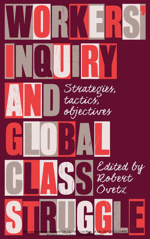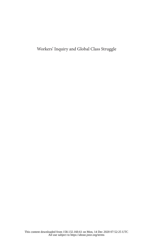Workers' Inquiry and Global Class Struggle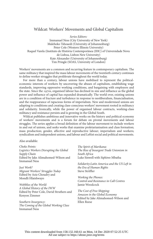### Wildcat: Workers' Movements and Global Capitalism

*Series Editors:* Immanuel Ness (City University of New York) Malehoko Tshoaedi (University of Johannesburg) Peter Cole (Western Illinois University) Raquel Varela (Instituto de História Contemporânea (IHC) of Universidade Nova de Lisboa, Lisbon New University) Kate Alexander (University of Johannesburg) Tim Pringle (SOAS, University of London)

Workers' movements are a common and recurring feature in contemporary capitalism. The same militancy that inspired the mass labour movements of the twentieth century continues to define worker struggles that proliferate throughout the world today.

For more than a century, labour unions have mobilised to represent the politicaleconomic interests of workers by uncovering the abuses of capitalism, establishing wage standards, improving oppressive working conditions, and bargaining with employers and the state. Since the 1970s, organised labour has declined in size and influence as the global power and influence of capital has expanded dramatically. The world over, existing unions are in a condition of fracture and turbulence in response to neoliberalism, financialisation, and the reappearance of rapacious forms of imperialism. New and modernised unions are adapting to conditions and creating class-conscious workers' movement rooted in militancy and solidarity. Ironically, while the power of organised labour contracts, working-class militancy and resistance persists and is growing in the Global South.

Wildcat publishes ambitious and innovative works on the history and political economy of workers' movements and is a forum for debate on pivotal movements and labour struggles. The series applies a broad definition of the labour movement to include workers in and out of unions, and seeks works that examine proletarianisation and class formation; mass production; gender, affective and reproductive labour; imperialism and workers; syndicalism and independent unions, and labour and Leftist social and political movements.

Also available:

*Choke Points: Logistics Workers Disrupting the Global Supply Chain* Edited by Jake Alimahomed-Wilson and Immanuel Ness

*Just Work? Migrant Workers' Struggles Today* Edited by Aziz Choudry and Mondli Hlatshwayo

*Wobblies of the World: A Global History of the IWW* Edited by Peter Cole, David Struthers and Kenyon Zimmer

*Southern Insurgency: The Coming of the Global Working Class* Immanuel Ness

*The Spirit of Marikana: The Rise of Insurgent Trade Unionism in South Africa* Luke Sinwell with Siphiwe Mbatha

*Solidarity:Latin America and the US Left in the Era of Human Rights* Steve Striffler

*Working the Phones: Control and Resistance in Call Centres* Jamie Woodcock

*The Cost of Free Shipping: Amazon in the Global Economy* Edited by Jake Alimahomed-Wilson and Ellen Reese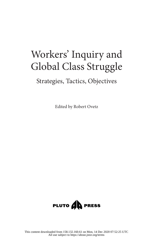# Workers' Inquiry and Global Class Struggle

### Strategies, Tactics, Objectives

Edited by Robert Ovetz

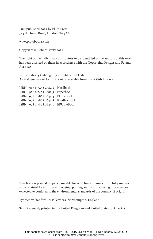First published 2021 by Pluto Press 345 Archway Road, London N6 5AA

www.plutobooks.com

Copyright © Robert Ovetz 2021

The right of the individual contributors to be identified as the authors of this work has been asserted by them in accordance with the Copyright, Designs and Patents Act 1988.

British Library Cataloguing in Publication Data A catalogue record for this book is available from the British Library

ISBN 978 0 7453 4084 5 Hardback ISBN 978 0 7453 4086 9 Paperback ISBN 978 1 7868 0644 4 PDF eBook ISBN 978 1 7868 0646 8 Kindle eBook ISBN 978 1 7868 0645 1 EPUB eBook

This book is printed on paper suitable for recycling and made from fully managed and sustained forest sources. Logging, pulping and manufacturing processes are expected to conform to the environmental standards of the country of origin.

Typeset by Stanford DTP Services, Northampton, England

Simultaneously printed in the United Kingdom and United States of America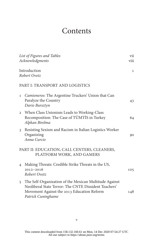### **Contents**

|                | List of Figures and Tables<br>Acknowledgments                                                                                                                                         | vii<br>viii |
|----------------|---------------------------------------------------------------------------------------------------------------------------------------------------------------------------------------|-------------|
|                | Introduction<br>Robert Ovetz                                                                                                                                                          | 1           |
|                | PART I: TRANSPORT AND LOGISTICS                                                                                                                                                       |             |
| $\mathbf{1}$   | <i>Camioneros:</i> The Argentine Truckers' Union that Can<br>Paralyze the Country<br>Dario Bursztyn                                                                                   | 43          |
|                | 2 When Class Unionism Leads to Working-Class<br>Recomposition: The Case of TÜMTİS in Turkey<br>Alpkan Birelma                                                                         | 64          |
| 3              | Resisting Sexism and Racism in Italian Logistics Worker<br>Organizing<br>Anna Curcio                                                                                                  | 90          |
|                | PART II: EDUCATION, CALL CENTERS, CLEANERS,<br>PLATFORM WORK, AND GAMERS                                                                                                              |             |
| $\overline{4}$ | Making Threats: Credible Strike Threats in the US,<br>2012-2016<br>Robert Ovetz                                                                                                       | 105         |
|                | 5 The Self-Organization of the Mexican Multitude Against<br>Neoliberal State Terror: The CNTE Dissident Teachers'<br>Movement Against the 2013 Education Reform<br>Patrick Cuninghame | 148         |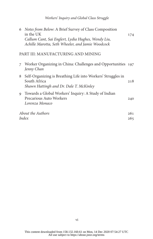| 6 | Notes from Below: A Brief Survey of Class Composition<br>in the UK<br>Callum Cant, Sai Englert, Lydia Hughes, Wendy Liu,<br>Achille Marotta, Seth Wheeler, and Jamie Woodcock | 174        |
|---|-------------------------------------------------------------------------------------------------------------------------------------------------------------------------------|------------|
|   | PART III: MANUFACTURING AND MINING                                                                                                                                            |            |
| 7 | Worker Organizing in China: Challenges and Opportunities 197<br>Jenny Chan                                                                                                    |            |
|   | 8 Self-Organizing is Breathing Life into Workers' Struggles in<br>South Africa<br>Shawn Hattingh and Dr. Dale T. McKinley                                                     | 218        |
|   | 9 Towards a Global Workers' Inquiry: A Study of Indian<br>Precarious Auto Workers<br>Lorenza Monaco                                                                           | 240        |
|   | <i>About the Authors</i><br>Index                                                                                                                                             | 261<br>265 |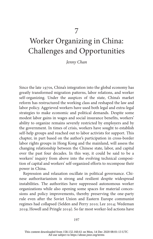## Worker Organizing in China: Challenges and Opportunities

*Jenny Chan*

Since the late 1970s, China's integration into the global economy has greatly transformed migration patterns, labor relations, and worker self-organizing. Under the auspices of the state, China's market reform has restructured the working class and reshaped the law and labor policy. Aggrieved workers have used both legal and extra-legal strategies to make economic and political demands. Despite some modest labor gains in wages and social insurance benefits, workers' ability to organize remains severely restricted by employers and by the government. In times of crisis, workers have sought to establish self-help groups and reached out to labor activists for support. This chapter, in part based on the author's participation in cross-border labor rights groups in Hong Kong and the mainland, will assess the changing relationship between the Chinese state, labor, and capital over the past four decades. In this way, it could be said to be a workers' inquiry from above into the evolving technical composition of capital and workers' self-organized efforts to recompose their power in China.

Repression and relaxation oscillate in political governance. Chinese authoritarianism is strong and resilient despite widespread instabilities. The authorities have suppressed autonomous worker organizations while also opening some spaces for material concessions and policy improvements, thereby preserving the one-party rule even after the Soviet Union and Eastern Europe communist regimes had collapsed (Selden and Perry 2010; Lee 2014; Wedeman 2019; Howell and Pringle 2019). So far most worker-led actions have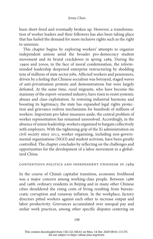### *Jenny Chan*

been short-lived and eventually broken up. However, a transformation of worker leaders and their followers has also been taking place that has fueled the demand for more inclusive rights such as the right to unionize.

This chapter begins by exploring workers' attempts to organize independent unions amid the broader pro-democracy student movement and its brutal crackdown in spring 1989. During the 1990s and 2000s, in the face of moral condemnation, the reformminded leadership deepened enterprise restructuring by shedding tens of millions of state sector jobs. Affected workers and pensioners, driven by a feeling that Chinese socialism was betrayed, staged waves of anti-privatization protests and demonstrations but were largely defeated. At the same time, rural migrants, who have become the mainstay of the export-oriented industry, have risen to resist systemic abuses and class exploitation. In restoring industrial harmony and boosting its legitimacy, the state has expanded legal rights protection and grievance redress mechanisms for hundreds of millions of workers. Important pro-labor measures aside, the central problem of worker representation has remained unresolved. Accordingly, in the absence of union leadership, workers organized to bargain collectively with employers. With the tightening grip of the Xi administration on civil society since 2013, worker organizing, including non-governmental organizations (NGO) and student activism, have been greatly controlled. The chapter concludes by reflecting on the challenges and opportunities for the development of a labor movement in a globalized China.

#### contentious politics and independent unionism in 1989

In the course of China's capitalist transition, economic livelihood was a major concern among working-class people. Between 1986 and 1988, ordinary residents in Beijing and in many other Chinese cities shouldered the rising costs of living resulting from bureaucratic corruption and runaway inflation. In the workplace, factory directors pitted workers against each other to increase output and labor productivity. Grievances accumulated over unequal pay and unfair work practices, among other specific disputes centering on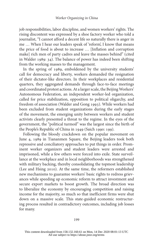job responsibilities, labor discipline, and women workers' rights. The rising discontent was expressed by a shoe factory worker who told a journalist, "I cannot afford a decent life so naturally there is anger in me … When I hear our leaders speak of 'reform', I know that means the price of food is about to increase … [Inflation and corruption make] rich men of party cadres and leave the masses behind" (cited in Walder 1989: 34). The balance of power has indeed been shifting from the working masses to the management.

In the spring of 1989, emboldened by the university students' call for democracy and liberty, workers demanded the resignation of their dictator-like directors. In their workplaces and residential quarters, they aggregated demands through face-to-face meetings and coordinated protest actions. At a larger scale, the Beijing Workers' Autonomous Federation, an independent worker-led organization, called for price stabilization, opposition to political oligarchy, and freedom of association (Walder and Gong 1993). While workers had been excluded from student organizations during the early stages of the movement, the emerging unity between workers and student activists clearly presented a threat to the regime. In the eyes of the government, the "political turmoil" was the largest since the birth of the People's Republic of China in 1949 (Saich 1990: 199).

Following the bloody crackdown on the popular movement on June 4, 1989 in Tiananmen Square, the Beijing leaders took both repressive and conciliatory approaches to put things in order. Prominent worker organizers and student leaders were arrested and imprisoned, while a few others were forced into exile. State surveillance at the workplace and in local neighborhoods was strengthened with military backing, thereby consolidating the topmost leadership (Lee and Hsing 2010). At the same time, the reformers established new mechanisms to guarantee workers' basic rights to redress grievances while speeding up economic reform to attract investment and secure export markets to boost growth. The broad direction was to liberalize the economy by encouraging competition and raising income for the majority, so much so that inefficient firms were shut down on a massive scale. This state-guided economic restructuring process resulted in contradictory outcomes, including job losses for many.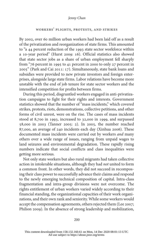#### *Jenny Chan*

### workers' plights, protests, and strikes

By 2002, over 60 million urban workers had been laid off as a result of the privatization and reorganization of state firms. This amounted to "a 44 percent reduction of the 1993 state sector workforce within a 10-year period" (Hurst 2009: 16). Official statistics also showed that state sector jobs as a share of urban employment fell sharply from "76 percent in 1995 to 41 percent in 2000 to only 27 percent in 2005" (Park and Cai 2011: 17). Simultaneously, state bank loans and subsidies were provided to new private investors and foreign enterprises, alongside large state firms. Labor relations have become more unstable with the end of job tenure for state sector workers and the intensified competition for profits between firms.

During this period, disgruntled workers engaged in anti-privatization campaigns to fight for their rights and interests. Government statistics showed that the number of "mass incidents," which covered strikes, protests, riots, demonstrations, collective petitions, and other forms of civil unrest, were on the rise. The cases of mass incidents stood at 8,700 in 1993, increased to 32,000 in 1999, and surpassed 58,000 in 2003 (Tanner 2005: 2). In 2005, the number reached 87,000, an average of 240 incidents each day (Xinhua 2006). These documented mass incidents were carried out by workers *and* many others over a wide range of issues, ranging from unpaid wages to land seizures and environmental degradation. These rapidly rising numbers indicate that social conflicts and class inequalities were getting more serious.

Not only state workers but also rural migrants had taken collective action in intolerable situations, although they had *not* united to form a common front. In other words, they did not succeed in recomposing their class power to successfully advance their claims and respond to the newly emerging technical composition of capital. Intra-class fragmentation and intra-group divisions were not overcome. The rights entitlement of urban workers varied widely according to their financial standing, the organizational capacities of their work organizations, and their own rank and seniority. While some workers would accept the compensation agreements, others rejected them (Lee 2007; Philion 2009). In the absence of strong leadership and mobilization,